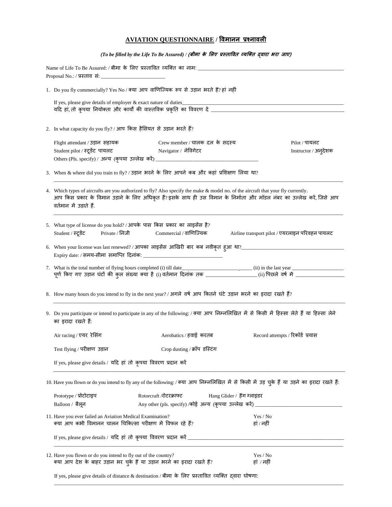## **AVIATION QUESTIONNAIRE / विमानन प्रश्नािऱी**

*(To be filled by the Life To Be Assured) /* **(बीमा के लऱए प्रस्तावित व्यक्तत द्िारा भरा जाए)**

|                                                                  | Name of Life To Be Assured: / बीमा के लिए प्रस्तावित व्यक्ति का नाम: __                                                                                                                                                                                                               |                                                |  |  |  |
|------------------------------------------------------------------|---------------------------------------------------------------------------------------------------------------------------------------------------------------------------------------------------------------------------------------------------------------------------------------|------------------------------------------------|--|--|--|
|                                                                  | 1. Do you fly commercially? Yes No / क्या आप वाणिज्यिक रूप से उड़ान भरते हैं? हां नहीं                                                                                                                                                                                                |                                                |  |  |  |
|                                                                  | If yes, please give details of employer & exact nature of duties                                                                                                                                                                                                                      |                                                |  |  |  |
|                                                                  | 2. In what capacity do you fly? / आप किस हैसियत से उड़ान भरते हैं?                                                                                                                                                                                                                    |                                                |  |  |  |
|                                                                  | Crew member / चालक दल के सदस्य<br>Flight attendant / उड़ान सहायक<br>Student pilot / स्टूडेंट पायलट Navigator / नेविगेटर                                                                                                                                                               | Pilot / पायलट<br>Instructor / अन् <b>देश</b> क |  |  |  |
|                                                                  | 3. When & where did you train to fly? / उड़ान भरने के लिए आपने कब और कहां प्रशिक्षण लिया था?                                                                                                                                                                                          |                                                |  |  |  |
|                                                                  | 4. Which types of aircrafts are you authorized to fly? Also specify the make & model no. of the aircraft that your fly currently.<br>आप किस प्रकार के विमान उड़ाने के लिए अधिकृत हैं?इसके साथ ही उस विमान के निर्माता और मॉडल नंबर का उल्लेख करें, जिसे आप<br>वर्तमान में उड़ाते हैं. |                                                |  |  |  |
|                                                                  | 5. What type of license do you hold? / आपके पास किस प्रकार का लाइसेंस है?<br>Student / स्टूडेंट Private / निजी Commercial / वाणिज्यिक                                                                                                                                                 | Airline transport pilot / एयरलाइन परिवहन पायलट |  |  |  |
|                                                                  |                                                                                                                                                                                                                                                                                       |                                                |  |  |  |
|                                                                  |                                                                                                                                                                                                                                                                                       |                                                |  |  |  |
|                                                                  | 8. How many hours do you intend to fly in the next year? / अगले वर्ष आप कितने घंटे उड़ान भरने का इरादा रखते हैं?                                                                                                                                                                      |                                                |  |  |  |
|                                                                  | 9. Do you participate or intend to participate in any of the following: / क्या आप निम्नलिखित में से किसी में हिस्सा लेते हैं या हिस्सा लेने<br>का इरादा रखते हैं:                                                                                                                     |                                                |  |  |  |
|                                                                  | Air racing / एयर रेसिंग<br>Aerobatics / हवाई  करतब                                                                                                                                                                                                                                    | Record attempts / रिकॉर्ड प्रयास               |  |  |  |
|                                                                  | Crop dusting / क्रॉप डस्टिंग<br>Test flying / परीक्षण उड़ान                                                                                                                                                                                                                           |                                                |  |  |  |
| If yes, please give details / यदि हां तो कृपया विवरण प्रदान करें |                                                                                                                                                                                                                                                                                       |                                                |  |  |  |
|                                                                  | 10. Have you flown or do you intend to fly any of the following: / क्या आप निम्नलिखित में से किसी में उड़ चुके हैं या उड़ने का इरादा रखते हैं:                                                                                                                                        |                                                |  |  |  |
|                                                                  | Rotorcraft /रोटरक्राफ्ट<br>Hang Glider / हैंग ग्लाइडर<br>Prototype / प्रोटोटाइप<br>Balloon / बैलून                                                                                                                                                                                    |                                                |  |  |  |
|                                                                  | 11. Have you ever failed an Aviation Medical Examination?<br>क्या आप कभी विमानन चालन चिकित्सा परीक्षण में विफल रहे हैं?                                                                                                                                                               | Yes / No<br>हां / नहीं                         |  |  |  |
|                                                                  |                                                                                                                                                                                                                                                                                       |                                                |  |  |  |
|                                                                  | 12. Have you flown or do you intend to fly out of the country?<br>क्या आप देश के बाहर उड़ान भर चुके हैं या उड़ान भरने का इरादा रखते हैं?                                                                                                                                              | Yes / No<br>हां / नहीं                         |  |  |  |
|                                                                  | If yes, please give details of distance & destination / बीमा के लिए प्रस्तावित व्यक्ति दवारा घोषणा:                                                                                                                                                                                   |                                                |  |  |  |

\_\_\_\_\_\_\_\_\_\_\_\_\_\_\_\_\_\_\_\_\_\_\_\_\_\_\_\_\_\_\_\_\_\_\_\_\_\_\_\_\_\_\_\_\_\_\_\_\_\_\_\_\_\_\_\_\_\_\_\_\_\_\_\_\_\_\_\_\_\_\_\_\_\_\_\_\_\_\_\_\_\_\_\_\_\_\_\_\_\_\_\_\_\_\_\_\_\_\_\_\_\_\_\_\_\_\_\_\_\_\_\_\_